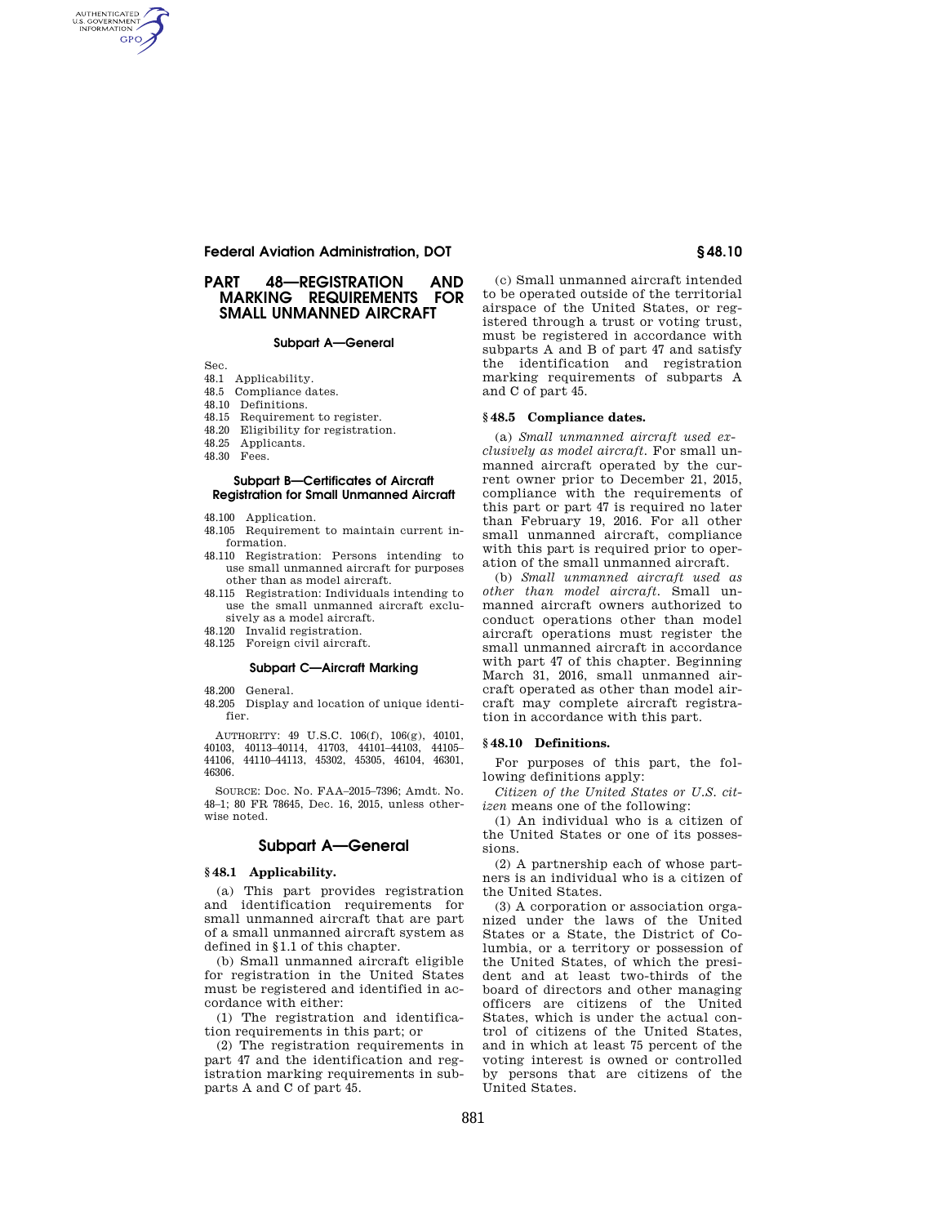## **Federal Aviation Administration, DOT § 48.10**

## **PART 48—REGISTRATION AND MARKING REQUIREMENTS FOR SMALL UNMANNED AIRCRAFT**

#### **Subpart A—General**

Sec.

AUTHENTICATED<br>U.S. GOVERNMENT<br>INFORMATION **GPO** 

- 48.1 Applicability.
- 48.5 Compliance dates.
- 48.10 Definitions.
- 48.15 Requirement to register.
- 48.20 Eligibility for registration.
- 48.25 Applicants.
- 48.30 Fees.

### **Subpart B—Certificates of Aircraft Registration for Small Unmanned Aircraft**

- 48.100 Application.
- 48.105 Requirement to maintain current information.
- 48.110 Registration: Persons intending to use small unmanned aircraft for purposes other than as model aircraft.
- 48.115 Registration: Individuals intending to use the small unmanned aircraft exclusively as a model aircraft.
- 48.120 Invalid registration.
- 48.125 Foreign civil aircraft.

#### **Subpart C—Aircraft Marking**

48.200 General.

48.205 Display and location of unique identifier.

AUTHORITY: 49 U.S.C. 106(f), 106(g), 40101, 40103, 40113–40114, 41703, 44101–44103, 44105– 44106, 44110–44113, 45302, 45305, 46104, 46301, 46306.

SOURCE: Doc. No. FAA–2015–7396; Amdt. No. 48–1; 80 FR 78645, Dec. 16, 2015, unless otherwise noted.

## **Subpart A—General**

#### **§ 48.1 Applicability.**

(a) This part provides registration and identification requirements for small unmanned aircraft that are part of a small unmanned aircraft system as defined in §1.1 of this chapter.

(b) Small unmanned aircraft eligible for registration in the United States must be registered and identified in accordance with either:

(1) The registration and identification requirements in this part; or

(2) The registration requirements in part 47 and the identification and registration marking requirements in subparts A and C of part 45.

(c) Small unmanned aircraft intended to be operated outside of the territorial airspace of the United States, or registered through a trust or voting trust, must be registered in accordance with subparts A and B of part 47 and satisfy the identification and registration marking requirements of subparts A and C of part 45.

## **§ 48.5 Compliance dates.**

(a) *Small unmanned aircraft used exclusively as model aircraft.* For small unmanned aircraft operated by the current owner prior to December 21, 2015, compliance with the requirements of this part or part 47 is required no later than February 19, 2016. For all other small unmanned aircraft, compliance with this part is required prior to operation of the small unmanned aircraft.

(b) *Small unmanned aircraft used as other than model aircraft.* Small unmanned aircraft owners authorized to conduct operations other than model aircraft operations must register the small unmanned aircraft in accordance with part 47 of this chapter. Beginning March 31, 2016, small unmanned aircraft operated as other than model aircraft may complete aircraft registration in accordance with this part.

## **§ 48.10 Definitions.**

For purposes of this part, the following definitions apply:

*Citizen of the United States or U.S. citizen* means one of the following:

(1) An individual who is a citizen of the United States or one of its possessions.

(2) A partnership each of whose partners is an individual who is a citizen of the United States.

(3) A corporation or association organized under the laws of the United States or a State, the District of Columbia, or a territory or possession of the United States, of which the president and at least two-thirds of the board of directors and other managing officers are citizens of the United States, which is under the actual control of citizens of the United States, and in which at least 75 percent of the voting interest is owned or controlled by persons that are citizens of the United States.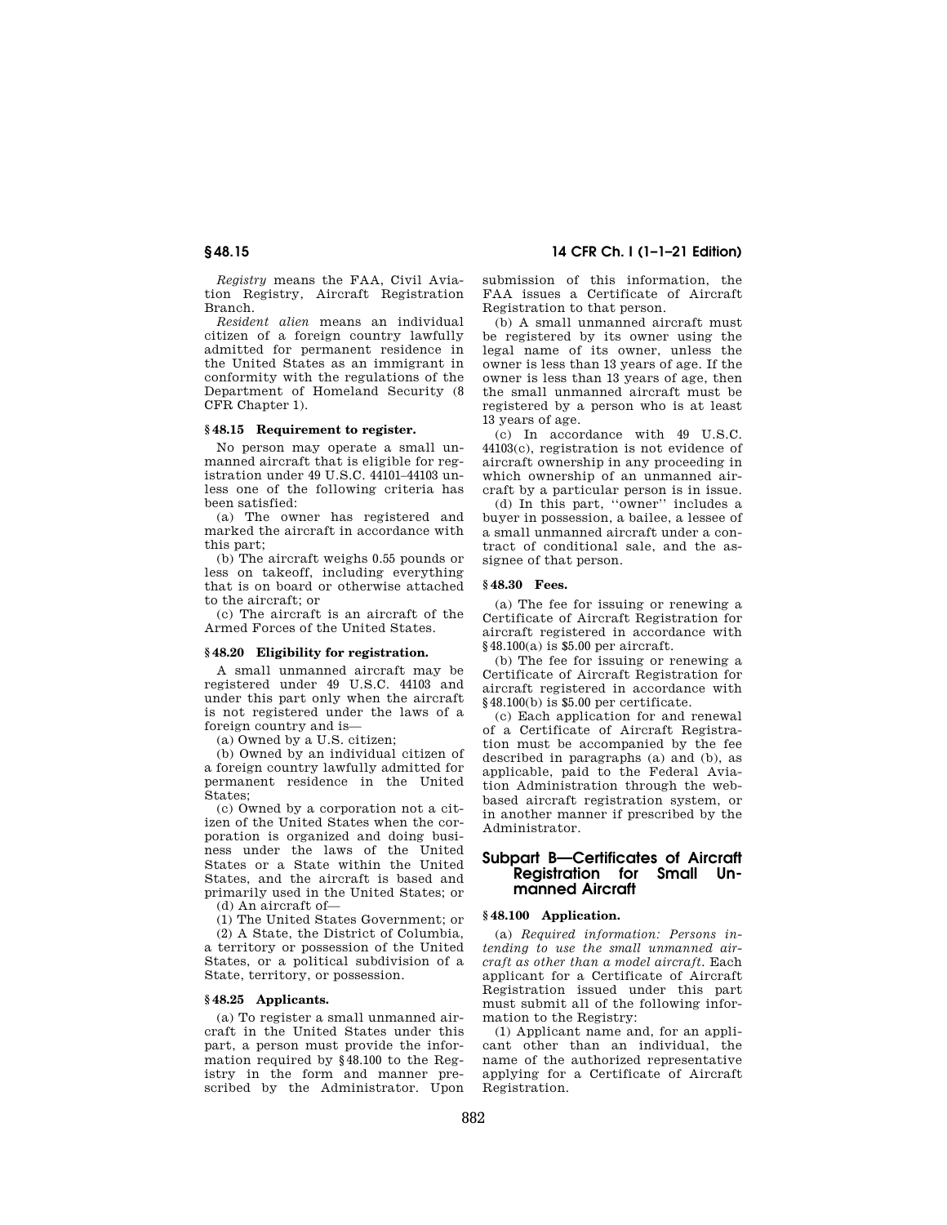*Registry* means the FAA, Civil Aviation Registry, Aircraft Registration Branch.

*Resident alien* means an individual citizen of a foreign country lawfully admitted for permanent residence in the United States as an immigrant in conformity with the regulations of the Department of Homeland Security (8 CFR Chapter 1).

## **§ 48.15 Requirement to register.**

No person may operate a small unmanned aircraft that is eligible for registration under 49 U.S.C. 44101–44103 unless one of the following criteria has been satisfied:

(a) The owner has registered and marked the aircraft in accordance with this part;

(b) The aircraft weighs 0.55 pounds or less on takeoff, including everything that is on board or otherwise attached to the aircraft; or

(c) The aircraft is an aircraft of the Armed Forces of the United States.

#### **§ 48.20 Eligibility for registration.**

A small unmanned aircraft may be registered under 49 U.S.C. 44103 and under this part only when the aircraft is not registered under the laws of a foreign country and is—

(a) Owned by a U.S. citizen;

(b) Owned by an individual citizen of a foreign country lawfully admitted for permanent residence in the United States;

(c) Owned by a corporation not a citizen of the United States when the corporation is organized and doing business under the laws of the United States or a State within the United States, and the aircraft is based and primarily used in the United States; or (d) An aircraft of—

State, territory, or possession.

(1) The United States Government; or (2) A State, the District of Columbia, a territory or possession of the United States, or a political subdivision of a

#### **§ 48.25 Applicants.**

(a) To register a small unmanned aircraft in the United States under this part, a person must provide the information required by §48.100 to the Registry in the form and manner prescribed by the Administrator. Upon

# **§ 48.15 14 CFR Ch. I (1–1–21 Edition)**

submission of this information, the FAA issues a Certificate of Aircraft Registration to that person.

(b) A small unmanned aircraft must be registered by its owner using the legal name of its owner, unless the owner is less than 13 years of age. If the owner is less than 13 years of age, then the small unmanned aircraft must be registered by a person who is at least 13 years of age.

(c) In accordance with 49 U.S.C. 44103(c), registration is not evidence of aircraft ownership in any proceeding in which ownership of an unmanned aircraft by a particular person is in issue.

(d) In this part, ''owner'' includes a buyer in possession, a bailee, a lessee of a small unmanned aircraft under a contract of conditional sale, and the assignee of that person.

# **§ 48.30 Fees.**

(a) The fee for issuing or renewing a Certificate of Aircraft Registration for aircraft registered in accordance with §48.100(a) is \$5.00 per aircraft.

(b) The fee for issuing or renewing a Certificate of Aircraft Registration for aircraft registered in accordance with §48.100(b) is \$5.00 per certificate.

(c) Each application for and renewal of a Certificate of Aircraft Registration must be accompanied by the fee described in paragraphs (a) and (b), as applicable, paid to the Federal Aviation Administration through the webbased aircraft registration system, or in another manner if prescribed by the Administrator.

## **Subpart B—Certificates of Aircraft Registration for Small Unmanned Aircraft**

## **§ 48.100 Application.**

(a) *Required information: Persons intending to use the small unmanned aircraft as other than a model aircraft.* Each applicant for a Certificate of Aircraft Registration issued under this part must submit all of the following information to the Registry:

(1) Applicant name and, for an applicant other than an individual, the name of the authorized representative applying for a Certificate of Aircraft Registration.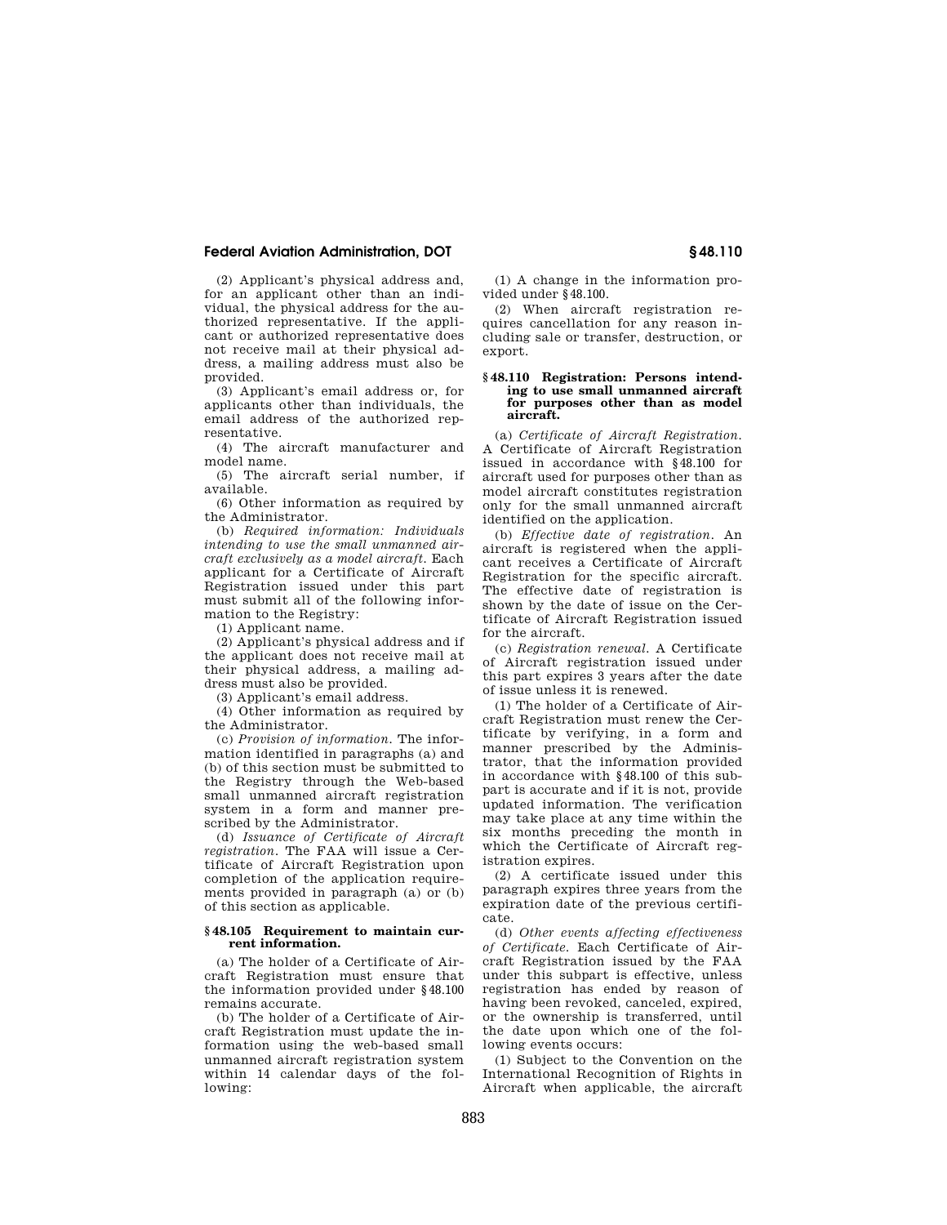## **Federal Aviation Administration, DOT § 48.110**

(2) Applicant's physical address and, for an applicant other than an individual, the physical address for the authorized representative. If the applicant or authorized representative does not receive mail at their physical address, a mailing address must also be provided.

(3) Applicant's email address or, for applicants other than individuals, the email address of the authorized representative.

(4) The aircraft manufacturer and model name.

(5) The aircraft serial number, if available.

(6) Other information as required by the Administrator.

(b) *Required information: Individuals intending to use the small unmanned aircraft exclusively as a model aircraft.* Each applicant for a Certificate of Aircraft Registration issued under this part must submit all of the following information to the Registry:

(1) Applicant name.

(2) Applicant's physical address and if the applicant does not receive mail at their physical address, a mailing address must also be provided.

(3) Applicant's email address.

(4) Other information as required by the Administrator.

(c) *Provision of information.* The information identified in paragraphs (a) and (b) of this section must be submitted to the Registry through the Web-based small unmanned aircraft registration system in a form and manner prescribed by the Administrator.

(d) *Issuance of Certificate of Aircraft registration.* The FAA will issue a Certificate of Aircraft Registration upon completion of the application requirements provided in paragraph (a) or (b) of this section as applicable.

#### **§ 48.105 Requirement to maintain current information.**

(a) The holder of a Certificate of Aircraft Registration must ensure that the information provided under §48.100 remains accurate.

(b) The holder of a Certificate of Aircraft Registration must update the information using the web-based small unmanned aircraft registration system within 14 calendar days of the following:

(1) A change in the information provided under §48.100.

(2) When aircraft registration requires cancellation for any reason including sale or transfer, destruction, or export.

#### **§ 48.110 Registration: Persons intending to use small unmanned aircraft for purposes other than as model aircraft.**

(a) *Certificate of Aircraft Registration.*  A Certificate of Aircraft Registration issued in accordance with §48.100 for aircraft used for purposes other than as model aircraft constitutes registration only for the small unmanned aircraft identified on the application.

(b) *Effective date of registration.* An aircraft is registered when the applicant receives a Certificate of Aircraft Registration for the specific aircraft. The effective date of registration is shown by the date of issue on the Certificate of Aircraft Registration issued for the aircraft.

(c) *Registration renewal.* A Certificate of Aircraft registration issued under this part expires 3 years after the date of issue unless it is renewed.

(1) The holder of a Certificate of Aircraft Registration must renew the Certificate by verifying, in a form and manner prescribed by the Administrator, that the information provided in accordance with §48.100 of this subpart is accurate and if it is not, provide updated information. The verification may take place at any time within the six months preceding the month in which the Certificate of Aircraft registration expires.

(2) A certificate issued under this paragraph expires three years from the expiration date of the previous certificate.

(d) *Other events affecting effectiveness of Certificate.* Each Certificate of Aircraft Registration issued by the FAA under this subpart is effective, unless registration has ended by reason of having been revoked, canceled, expired, or the ownership is transferred, until the date upon which one of the following events occurs:

(1) Subject to the Convention on the International Recognition of Rights in Aircraft when applicable, the aircraft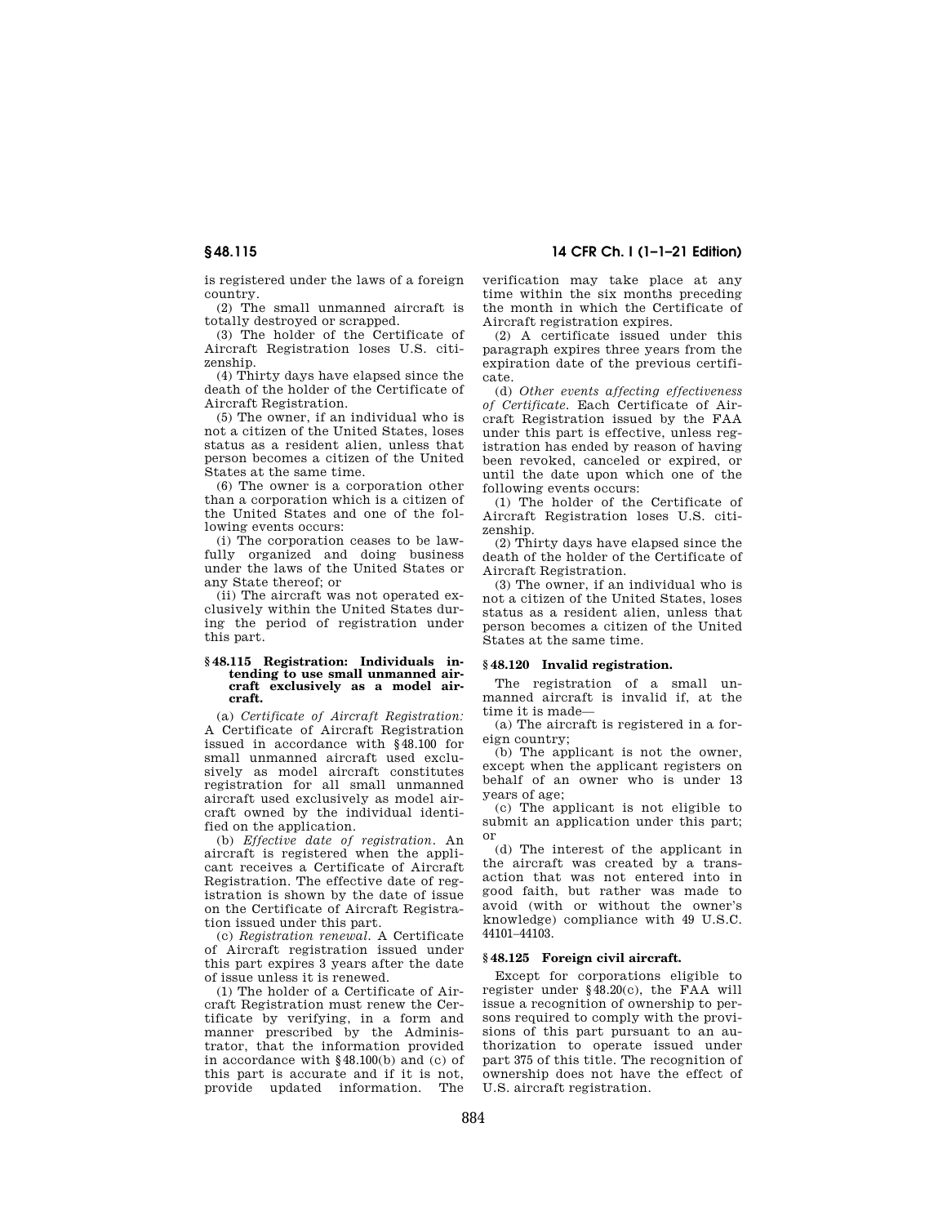is registered under the laws of a foreign country.

(2) The small unmanned aircraft is totally destroyed or scrapped.

(3) The holder of the Certificate of Aircraft Registration loses U.S. citizenship.

(4) Thirty days have elapsed since the death of the holder of the Certificate of Aircraft Registration.

(5) The owner, if an individual who is not a citizen of the United States, loses status as a resident alien, unless that person becomes a citizen of the United States at the same time.

(6) The owner is a corporation other than a corporation which is a citizen of the United States and one of the following events occurs:

(i) The corporation ceases to be lawfully organized and doing business under the laws of the United States or any State thereof; or

(ii) The aircraft was not operated exclusively within the United States during the period of registration under this part.

#### **§ 48.115 Registration: Individuals intending to use small unmanned aircraft exclusively as a model aircraft.**

(a) *Certificate of Aircraft Registration:*  A Certificate of Aircraft Registration issued in accordance with §48.100 for small unmanned aircraft used exclusively as model aircraft constitutes registration for all small unmanned aircraft used exclusively as model aircraft owned by the individual identified on the application.

(b) *Effective date of registration.* An aircraft is registered when the applicant receives a Certificate of Aircraft Registration. The effective date of registration is shown by the date of issue on the Certificate of Aircraft Registration issued under this part.

(c) *Registration renewal.* A Certificate of Aircraft registration issued under this part expires 3 years after the date of issue unless it is renewed.

(1) The holder of a Certificate of Aircraft Registration must renew the Certificate by verifying, in a form and manner prescribed by the Administrator, that the information provided in accordance with §48.100(b) and (c) of this part is accurate and if it is not, provide updated information. The

**§ 48.115 14 CFR Ch. I (1–1–21 Edition)** 

verification may take place at any time within the six months preceding the month in which the Certificate of Aircraft registration expires.

(2) A certificate issued under this paragraph expires three years from the expiration date of the previous certificate.

(d) *Other events affecting effectiveness of Certificate.* Each Certificate of Aircraft Registration issued by the FAA under this part is effective, unless registration has ended by reason of having been revoked, canceled or expired, or until the date upon which one of the following events occurs:

(1) The holder of the Certificate of Aircraft Registration loses U.S. citizenship.

(2) Thirty days have elapsed since the death of the holder of the Certificate of Aircraft Registration.

(3) The owner, if an individual who is not a citizen of the United States, loses status as a resident alien, unless that person becomes a citizen of the United States at the same time.

#### **§ 48.120 Invalid registration.**

The registration of a small unmanned aircraft is invalid if, at the time it is made—

(a) The aircraft is registered in a foreign country;

(b) The applicant is not the owner, except when the applicant registers on behalf of an owner who is under 13 years of age;

(c) The applicant is not eligible to submit an application under this part; or

(d) The interest of the applicant in the aircraft was created by a transaction that was not entered into in good faith, but rather was made to avoid (with or without the owner's knowledge) compliance with 49 U.S.C. 44101–44103.

#### **§ 48.125 Foreign civil aircraft.**

Except for corporations eligible to register under §48.20(c), the FAA will issue a recognition of ownership to persons required to comply with the provisions of this part pursuant to an authorization to operate issued under part 375 of this title. The recognition of ownership does not have the effect of U.S. aircraft registration.